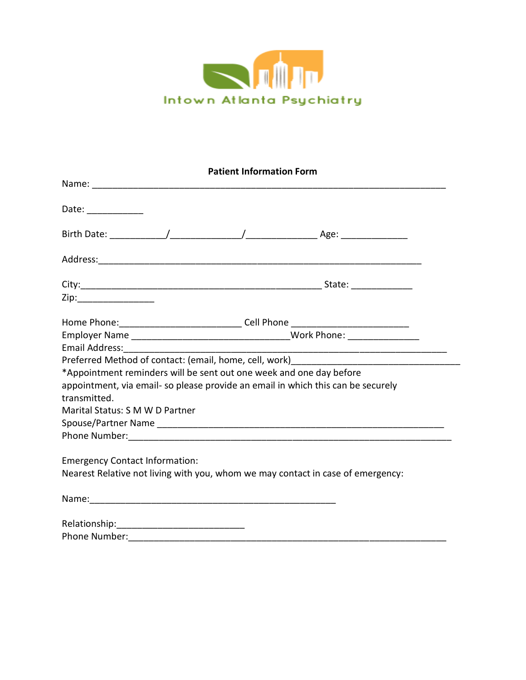

| <b>Patient Information Form</b>       |                                                                                   |  |
|---------------------------------------|-----------------------------------------------------------------------------------|--|
|                                       |                                                                                   |  |
| Date: ____________                    |                                                                                   |  |
|                                       |                                                                                   |  |
|                                       |                                                                                   |  |
|                                       |                                                                                   |  |
| Zip:__________________                |                                                                                   |  |
|                                       | Home Phone: __________________________________Cell Phone ________________________ |  |
|                                       |                                                                                   |  |
|                                       |                                                                                   |  |
|                                       |                                                                                   |  |
|                                       | *Appointment reminders will be sent out one week and one day before               |  |
| transmitted.                          | appointment, via email- so please provide an email in which this can be securely  |  |
| Marital Status: S M W D Partner       |                                                                                   |  |
|                                       |                                                                                   |  |
|                                       |                                                                                   |  |
|                                       |                                                                                   |  |
| <b>Emergency Contact Information:</b> |                                                                                   |  |
|                                       | Nearest Relative not living with you, whom we may contact in case of emergency:   |  |
|                                       |                                                                                   |  |
|                                       |                                                                                   |  |

Phone Number:\_\_\_\_\_\_\_\_\_\_\_\_\_\_\_\_\_\_\_\_\_\_\_\_\_\_\_\_\_\_\_\_\_\_\_\_\_\_\_\_\_\_\_\_\_\_\_\_\_\_\_\_\_\_\_\_\_\_\_\_\_\_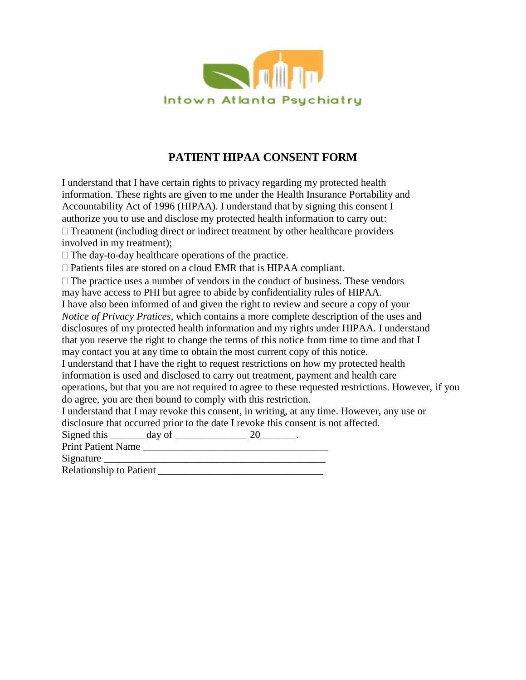

## **PATIENT HIPAA CONSENT FORM**

I understand that I have certain rights to privacy regarding my protected health information. These rights are given to me under the Health Insurance Portability and Accountability Act of 1996 (HIPAA). I understand that by signing this consent I authorize you to use and disclose my protected health information to carry out:

 $\Box$  Treatment (including direct or indirect treatment by other healthcare providers involved in my treatment);

 $\Box$  The day-to-day healthcare operations of the practice.

Patients files are stored on a cloud EMR that is HIPAA compliant.

 $\Box$  The practice uses a number of vendors in the conduct of business. These vendors may have access to PHI but agree to abide by confidentiality rules of HIPAA. I have also been informed of and given the right to review and secure a copy of your *Notice of Privacy Pratices*, which contains a more complete description of the uses and disclosures of my protected health information and my rights under HIPAA. I understand that you reserve the right to change the terms of this notice from time to time and that I

may contact you at any time to obtain the most current copy of this notice.

I understand that I have the right to request restrictions on how my protected health information is used and disclosed to carry out treatment, payment and health care operations, but that you are not required to agree to these requested restrictions. However, if you do agree, you are then bound to comply with this restriction.

I understand that I may revoke this consent, in writing, at any time. However, any use or disclosure that occurred prior to the date I revoke this consent is not affected.

Signed this  $\frac{day \text{ of } 20}{x}$ .

Print Patient Name \_\_\_\_\_\_\_\_\_\_\_\_\_\_\_\_\_\_\_\_\_\_\_\_\_\_\_\_\_\_\_\_\_\_\_\_

Signature  $\Box$ 

Relationship to Patient \_\_\_\_\_\_\_\_\_\_\_\_\_\_\_\_\_\_\_\_\_\_\_\_\_\_\_\_\_\_\_\_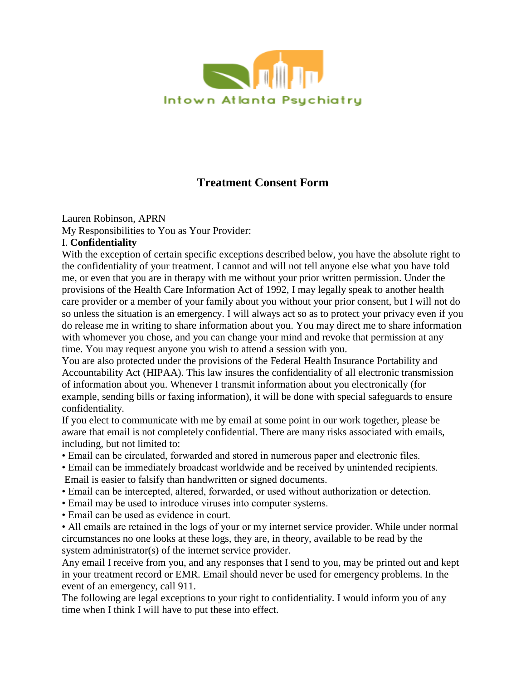

# **Treatment Consent Form**

Lauren Robinson, APRN

My Responsibilities to You as Your Provider:

#### I. **Confidentiality**

With the exception of certain specific exceptions described below, you have the absolute right to the confidentiality of your treatment. I cannot and will not tell anyone else what you have told me, or even that you are in therapy with me without your prior written permission. Under the provisions of the Health Care Information Act of 1992, I may legally speak to another health care provider or a member of your family about you without your prior consent, but I will not do so unless the situation is an emergency. I will always act so as to protect your privacy even if you do release me in writing to share information about you. You may direct me to share information with whomever you chose, and you can change your mind and revoke that permission at any time. You may request anyone you wish to attend a session with you.

You are also protected under the provisions of the Federal Health Insurance Portability and Accountability Act (HIPAA). This law insures the confidentiality of all electronic transmission of information about you. Whenever I transmit information about you electronically (for example, sending bills or faxing information), it will be done with special safeguards to ensure confidentiality.

If you elect to communicate with me by email at some point in our work together, please be aware that email is not completely confidential. There are many risks associated with emails, including, but not limited to:

- Email can be circulated, forwarded and stored in numerous paper and electronic files.
- Email can be immediately broadcast worldwide and be received by unintended recipients. Email is easier to falsify than handwritten or signed documents.
- Email can be intercepted, altered, forwarded, or used without authorization or detection.
- Email may be used to introduce viruses into computer systems.
- Email can be used as evidence in court.

• All emails are retained in the logs of your or my internet service provider. While under normal circumstances no one looks at these logs, they are, in theory, available to be read by the system administrator(s) of the internet service provider.

Any email I receive from you, and any responses that I send to you, may be printed out and kept in your treatment record or EMR. Email should never be used for emergency problems. In the event of an emergency, call 911.

The following are legal exceptions to your right to confidentiality. I would inform you of any time when I think I will have to put these into effect.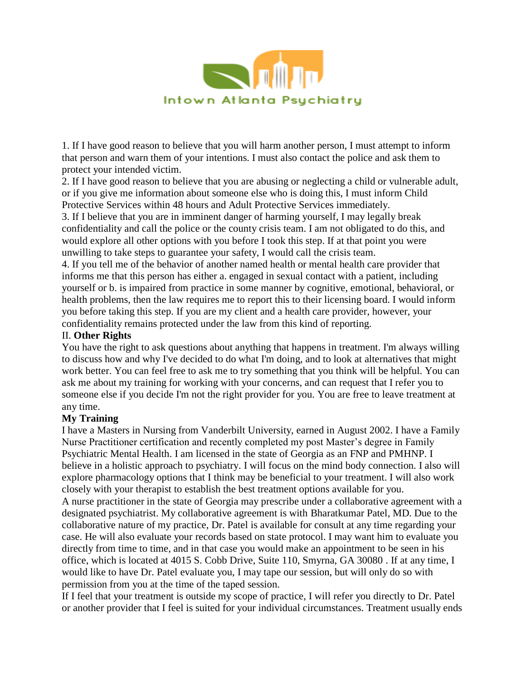

1. If I have good reason to believe that you will harm another person, I must attempt to inform that person and warn them of your intentions. I must also contact the police and ask them to protect your intended victim.

2. If I have good reason to believe that you are abusing or neglecting a child or vulnerable adult, or if you give me information about someone else who is doing this, I must inform Child Protective Services within 48 hours and Adult Protective Services immediately.

3. If I believe that you are in imminent danger of harming yourself, I may legally break confidentiality and call the police or the county crisis team. I am not obligated to do this, and would explore all other options with you before I took this step. If at that point you were unwilling to take steps to guarantee your safety, I would call the crisis team.

4. If you tell me of the behavior of another named health or mental health care provider that informs me that this person has either a. engaged in sexual contact with a patient, including yourself or b. is impaired from practice in some manner by cognitive, emotional, behavioral, or health problems, then the law requires me to report this to their licensing board. I would inform you before taking this step. If you are my client and a health care provider, however, your confidentiality remains protected under the law from this kind of reporting.

#### II. **Other Rights**

You have the right to ask questions about anything that happens in treatment. I'm always willing to discuss how and why I've decided to do what I'm doing, and to look at alternatives that might work better. You can feel free to ask me to try something that you think will be helpful. You can ask me about my training for working with your concerns, and can request that I refer you to someone else if you decide I'm not the right provider for you. You are free to leave treatment at any time.

### **My Training**

I have a Masters in Nursing from Vanderbilt University, earned in August 2002. I have a Family Nurse Practitioner certification and recently completed my post Master's degree in Family Psychiatric Mental Health. I am licensed in the state of Georgia as an FNP and PMHNP. I believe in a holistic approach to psychiatry. I will focus on the mind body connection. I also will explore pharmacology options that I think may be beneficial to your treatment. I will also work closely with your therapist to establish the best treatment options available for you.

A nurse practitioner in the state of Georgia may prescribe under a collaborative agreement with a designated psychiatrist. My collaborative agreement is with Bharatkumar Patel, MD. Due to the collaborative nature of my practice, Dr. Patel is available for consult at any time regarding your case. He will also evaluate your records based on state protocol. I may want him to evaluate you directly from time to time, and in that case you would make an appointment to be seen in his office, which is located at 4015 S. Cobb Drive, Suite 110, Smyrna, GA 30080 . If at any time, I would like to have Dr. Patel evaluate you, I may tape our session, but will only do so with permission from you at the time of the taped session.

If I feel that your treatment is outside my scope of practice, I will refer you directly to Dr. Patel or another provider that I feel is suited for your individual circumstances. Treatment usually ends